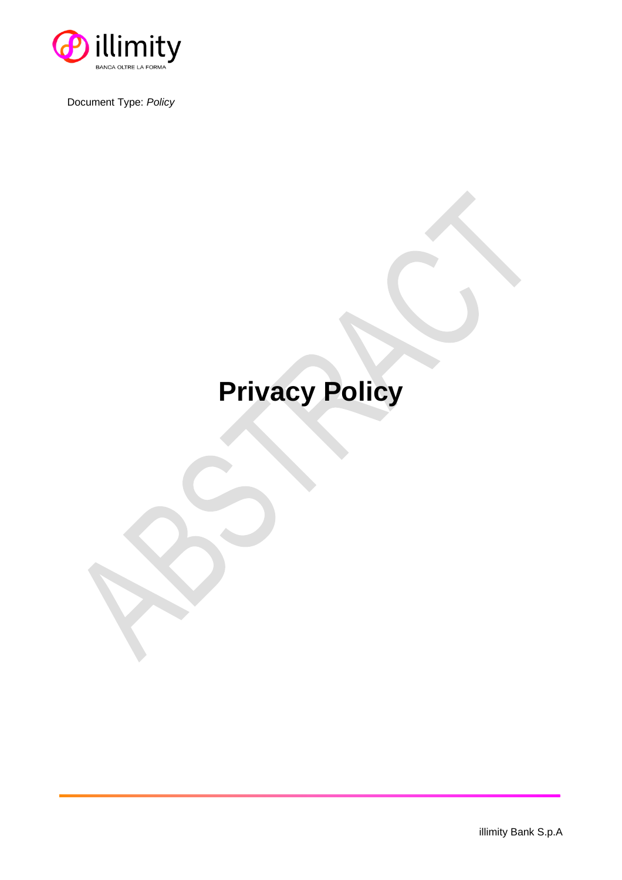

Document Type: *Policy*

## **Privacy Policy**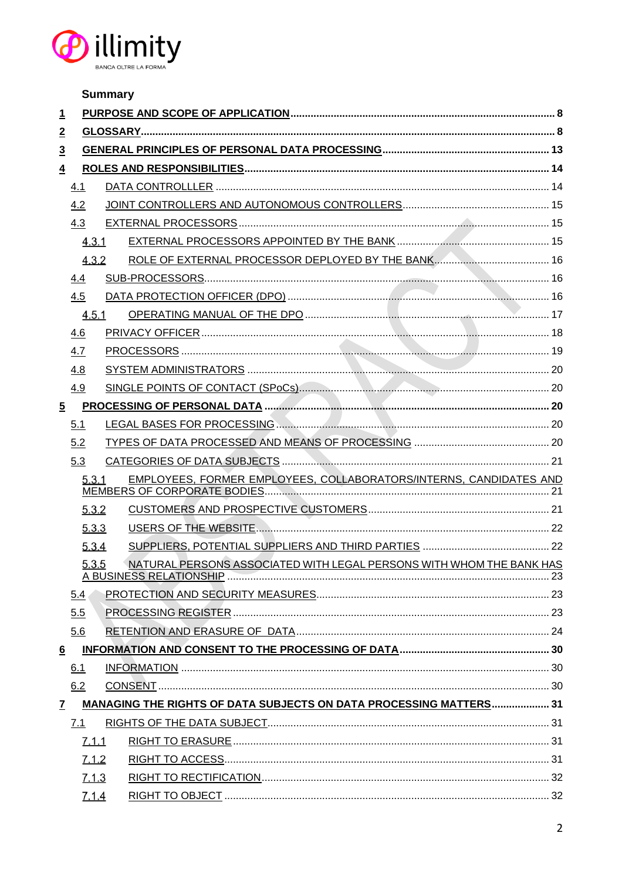

|                 |       | <b>Summary</b> |                                                                           |  |  |  |  |  |
|-----------------|-------|----------------|---------------------------------------------------------------------------|--|--|--|--|--|
| <u>1</u>        |       |                |                                                                           |  |  |  |  |  |
| $\overline{2}$  |       |                |                                                                           |  |  |  |  |  |
| $\overline{3}$  |       |                |                                                                           |  |  |  |  |  |
| $\overline{4}$  |       |                |                                                                           |  |  |  |  |  |
|                 | 4.1   |                |                                                                           |  |  |  |  |  |
|                 | 4.2   |                |                                                                           |  |  |  |  |  |
|                 | 4.3   |                |                                                                           |  |  |  |  |  |
|                 | 4.3.1 |                |                                                                           |  |  |  |  |  |
|                 | 4.3.2 |                |                                                                           |  |  |  |  |  |
|                 | 4.4   |                |                                                                           |  |  |  |  |  |
|                 | 4.5   |                |                                                                           |  |  |  |  |  |
|                 | 4.5.1 |                |                                                                           |  |  |  |  |  |
|                 | 4.6   |                |                                                                           |  |  |  |  |  |
|                 | 4.7   |                |                                                                           |  |  |  |  |  |
|                 | 4.8   |                |                                                                           |  |  |  |  |  |
|                 | 4.9   |                |                                                                           |  |  |  |  |  |
| $\overline{5}$  |       |                |                                                                           |  |  |  |  |  |
|                 | 5.1   |                |                                                                           |  |  |  |  |  |
|                 | 5.2   |                |                                                                           |  |  |  |  |  |
|                 | 5.3   |                |                                                                           |  |  |  |  |  |
|                 | 5.3.1 |                | EMPLOYEES, FORMER EMPLOYEES, COLLABORATORS/INTERNS, CANDIDATES AND        |  |  |  |  |  |
|                 | 5.3.2 |                |                                                                           |  |  |  |  |  |
|                 | 5.3.3 |                |                                                                           |  |  |  |  |  |
|                 | 5.3.4 |                |                                                                           |  |  |  |  |  |
|                 | 5.3.5 |                | NATURAL PERSONS ASSOCIATED WITH LEGAL PERSONS WITH WHOM THE BANK HAS      |  |  |  |  |  |
|                 | 5.4   |                |                                                                           |  |  |  |  |  |
|                 | 5.5   |                |                                                                           |  |  |  |  |  |
|                 | 5.6   |                |                                                                           |  |  |  |  |  |
| $6\overline{6}$ |       |                |                                                                           |  |  |  |  |  |
|                 | 6.1   |                |                                                                           |  |  |  |  |  |
|                 | 6.2   |                |                                                                           |  |  |  |  |  |
| $\mathbf{7}$    |       |                | <b>MANAGING THE RIGHTS OF DATA SUBJECTS ON DATA PROCESSING MATTERS 31</b> |  |  |  |  |  |
|                 | 7.1   |                |                                                                           |  |  |  |  |  |
|                 | 7.1.1 |                |                                                                           |  |  |  |  |  |
|                 | 7.1.2 |                |                                                                           |  |  |  |  |  |
|                 | 7.1.3 |                |                                                                           |  |  |  |  |  |
|                 | 7.1.4 |                |                                                                           |  |  |  |  |  |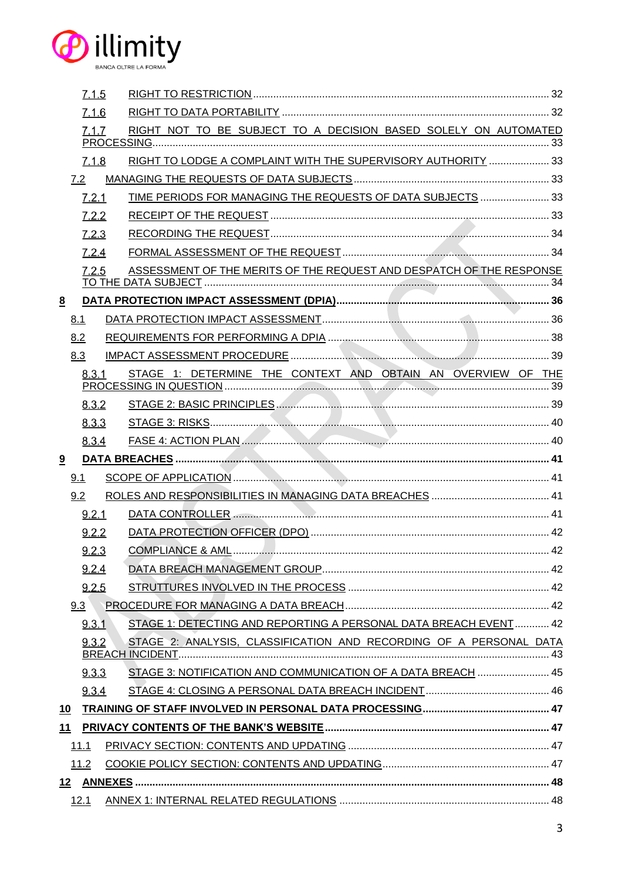

|   | 7.1.5 |                                                                      |  |
|---|-------|----------------------------------------------------------------------|--|
|   | 7.1.6 |                                                                      |  |
|   | 7.1.7 | RIGHT NOT TO BE SUBJECT TO A DECISION BASED SOLELY ON AUTOMATED      |  |
|   |       |                                                                      |  |
|   | 7.1.8 | RIGHT TO LODGE A COMPLAINT WITH THE SUPERVISORY AUTHORITY  33        |  |
|   | 7.2   |                                                                      |  |
|   | 7.2.1 | TIME PERIODS FOR MANAGING THE REQUESTS OF DATA SUBJECTS  33          |  |
|   | 7.2.2 |                                                                      |  |
|   | 7.2.3 |                                                                      |  |
|   | 7.2.4 |                                                                      |  |
|   | 7.2.5 | ASSESSMENT OF THE MERITS OF THE REQUEST AND DESPATCH OF THE RESPONSE |  |
| 8 |       |                                                                      |  |
|   | 8.1   |                                                                      |  |
|   | 8.2   |                                                                      |  |
|   | 8.3   |                                                                      |  |
|   | 8.3.1 | STAGE 1: DETERMINE THE CONTEXT AND OBTAIN AN OVERVIEW OF THE         |  |
|   | 8.3.2 |                                                                      |  |
|   | 8.3.3 |                                                                      |  |
|   | 8.3.4 | FASE 4: ACTION PLAN                                                  |  |
| 9 |       |                                                                      |  |
|   | 9.1   |                                                                      |  |
|   | 9.2   |                                                                      |  |
|   | 9.2.1 |                                                                      |  |
|   | 9.2.2 |                                                                      |  |
|   | 9.2.3 |                                                                      |  |
|   |       |                                                                      |  |
|   | 9.2.4 |                                                                      |  |
|   | 9.2.5 |                                                                      |  |
|   | 9.3   |                                                                      |  |
|   | 9.3.1 | STAGE 1: DETECTING AND REPORTING A PERSONAL DATA BREACH EVENT  42    |  |
|   | 9.3.2 | STAGE 2: ANALYSIS, CLASSIFICATION AND RECORDING OF A PERSONAL DATA   |  |
|   | 9.3.3 | STAGE 3: NOTIFICATION AND COMMUNICATION OF A DATA BREACH  45         |  |
|   | 9.3.4 |                                                                      |  |
|   |       |                                                                      |  |
|   |       |                                                                      |  |
|   | 11.1  |                                                                      |  |
|   | 11.2  |                                                                      |  |
|   |       |                                                                      |  |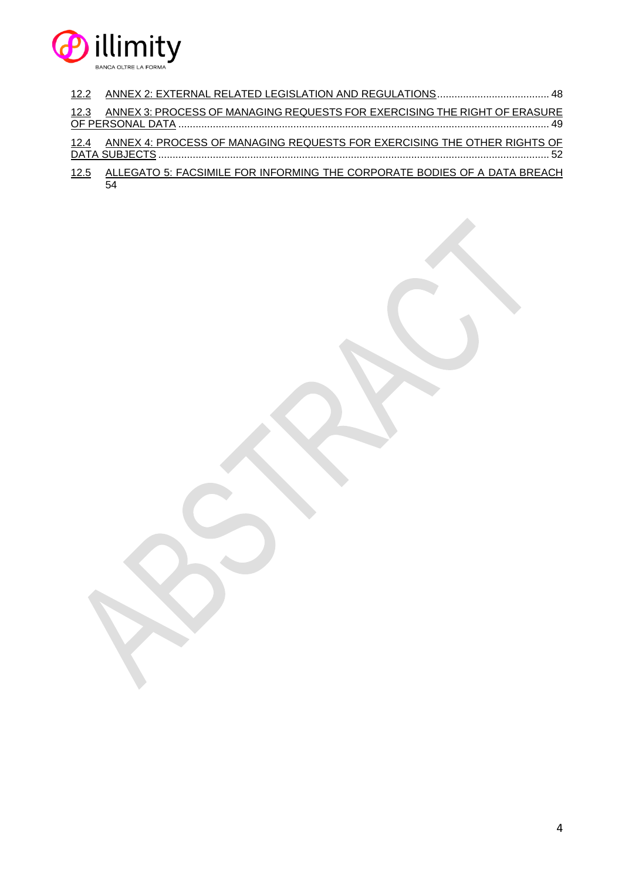

| 12.2        |                                                                           |
|-------------|---------------------------------------------------------------------------|
| 12.3        | ANNEX 3: PROCESS OF MANAGING REQUESTS FOR EXERCISING THE RIGHT OF ERASURE |
| <u>12.4</u> | ANNEX 4: PROCESS OF MANAGING REQUESTS FOR EXERCISING THE OTHER RIGHTS OF  |
| <u>12.5</u> | ALLEGATO 5: FACSIMILE FOR INFORMING THE CORPORATE BODIES OF A DATA BREACH |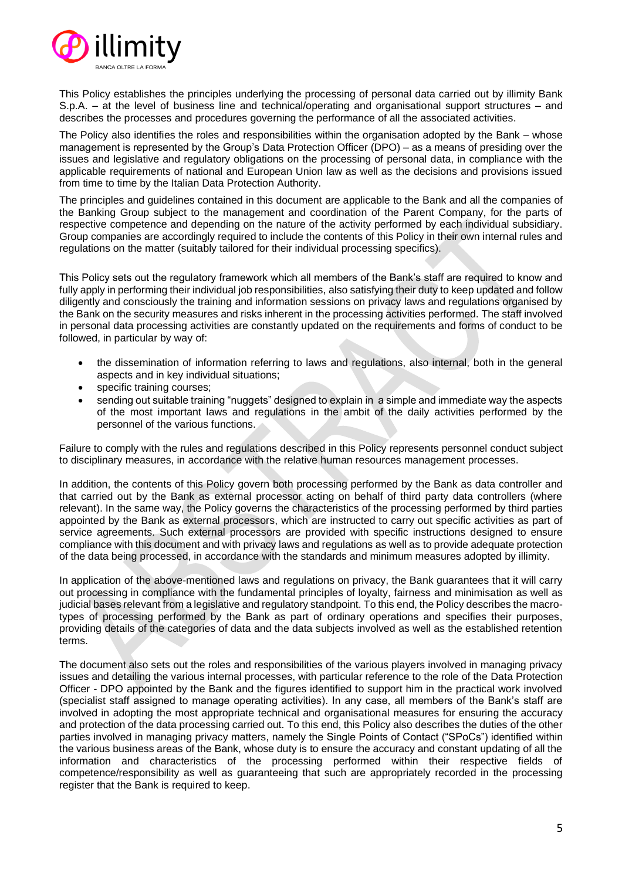

This Policy establishes the principles underlying the processing of personal data carried out by illimity Bank S.p.A. – at the level of business line and technical/operating and organisational support structures – and describes the processes and procedures governing the performance of all the associated activities.

The Policy also identifies the roles and responsibilities within the organisation adopted by the Bank – whose management is represented by the Group's Data Protection Officer (DPO) – as a means of presiding over the issues and legislative and regulatory obligations on the processing of personal data, in compliance with the applicable requirements of national and European Union law as well as the decisions and provisions issued from time to time by the Italian Data Protection Authority.

The principles and guidelines contained in this document are applicable to the Bank and all the companies of the Banking Group subject to the management and coordination of the Parent Company, for the parts of respective competence and depending on the nature of the activity performed by each individual subsidiary. Group companies are accordingly required to include the contents of this Policy in their own internal rules and regulations on the matter (suitably tailored for their individual processing specifics).

This Policy sets out the regulatory framework which all members of the Bank's staff are required to know and fully apply in performing their individual job responsibilities, also satisfying their duty to keep updated and follow diligently and consciously the training and information sessions on privacy laws and regulations organised by the Bank on the security measures and risks inherent in the processing activities performed. The staff involved in personal data processing activities are constantly updated on the requirements and forms of conduct to be followed, in particular by way of:

- the dissemination of information referring to laws and regulations, also internal, both in the general aspects and in key individual situations;
- specific training courses:
- sending out suitable training "nuggets" designed to explain in a simple and immediate way the aspects of the most important laws and regulations in the ambit of the daily activities performed by the personnel of the various functions.

Failure to comply with the rules and regulations described in this Policy represents personnel conduct subject to disciplinary measures, in accordance with the relative human resources management processes.

In addition, the contents of this Policy govern both processing performed by the Bank as data controller and that carried out by the Bank as external processor acting on behalf of third party data controllers (where relevant). In the same way, the Policy governs the characteristics of the processing performed by third parties appointed by the Bank as external processors, which are instructed to carry out specific activities as part of service agreements. Such external processors are provided with specific instructions designed to ensure compliance with this document and with privacy laws and regulations as well as to provide adequate protection of the data being processed, in accordance with the standards and minimum measures adopted by illimity.

In application of the above-mentioned laws and regulations on privacy, the Bank guarantees that it will carry out processing in compliance with the fundamental principles of loyalty, fairness and minimisation as well as judicial bases relevant from a legislative and regulatory standpoint. To this end, the Policy describes the macrotypes of processing performed by the Bank as part of ordinary operations and specifies their purposes, providing details of the categories of data and the data subjects involved as well as the established retention terms.

The document also sets out the roles and responsibilities of the various players involved in managing privacy issues and detailing the various internal processes, with particular reference to the role of the Data Protection Officer - DPO appointed by the Bank and the figures identified to support him in the practical work involved (specialist staff assigned to manage operating activities). In any case, all members of the Bank's staff are involved in adopting the most appropriate technical and organisational measures for ensuring the accuracy and protection of the data processing carried out. To this end, this Policy also describes the duties of the other parties involved in managing privacy matters, namely the Single Points of Contact ("SPoCs") identified within the various business areas of the Bank, whose duty is to ensure the accuracy and constant updating of all the information and characteristics of the processing performed within their respective fields of competence/responsibility as well as guaranteeing that such are appropriately recorded in the processing register that the Bank is required to keep.